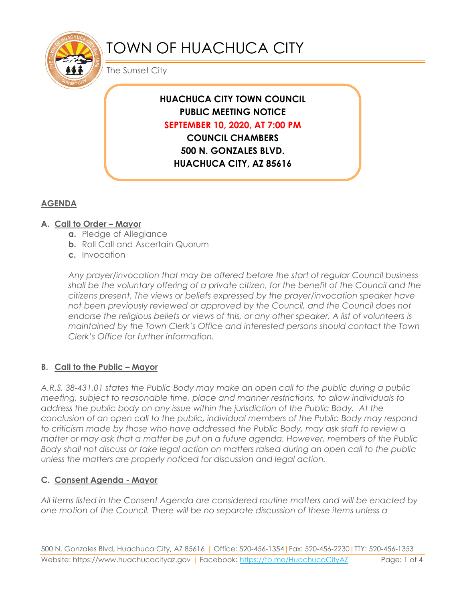

# TOWN OF HUACHUCA CITY

The Sunset City

## **HUACHUCA CITY TOWN COUNCIL PUBLIC MEETING NOTICE SEPTEMBER 10, 2020, AT 7:00 PM COUNCIL CHAMBERS**

**500 N. GONZALES BLVD. HUACHUCA CITY, AZ 85616**

## **AGENDA**

#### **A. Call to Order – Mayor**

- **a.** Pledge of Allegiance
- **b.** Roll Call and Ascertain Quorum
- **c.** Invocation

*Any prayer/invocation that may be offered before the start of regular Council business shall be the voluntary offering of a private citizen, for the benefit of the Council and the citizens present. The views or beliefs expressed by the prayer/invocation speaker have not been previously reviewed or approved by the Council, and the Council does not endorse the religious beliefs or views of this, or any other speaker. A list of volunteers is maintained by the Town Clerk's Office and interested persons should contact the Town Clerk's Office for further information.*

#### **B. Call to the Public – Mayor**

*A.R.S. 38-431.01 states the Public Body may make an open call to the public during a public meeting, subject to reasonable time, place and manner restrictions, to allow individuals to address the public body on any issue within the jurisdiction of the Public Body. At the conclusion of an open call to the public, individual members of the Public Body may respond to criticism made by those who have addressed the Public Body, may ask staff to review a matter or may ask that a matter be put on a future agenda. However, members of the Public Body shall not discuss or take legal action on matters raised during an open call to the public unless the matters are properly noticed for discussion and legal action.*

#### **C. Consent Agenda - Mayor**

*All items listed in the Consent Agenda are considered routine matters and will be enacted by one motion of the Council. There will be no separate discussion of these items unless a*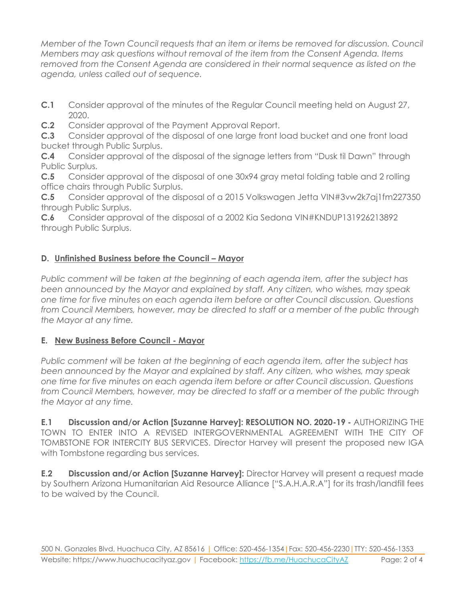*Member of the Town Council requests that an item or items be removed for discussion. Council Members may ask questions without removal of the item from the Consent Agenda. Items removed from the Consent Agenda are considered in their normal sequence as listed on the agenda, unless called out of sequence.*

- **C.1** Consider approval of the minutes of the Regular Council meeting held on August 27, 2020.
- **C.2** Consider approval of the Payment Approval Report.

**C.3** Consider approval of the disposal of one large front load bucket and one front load bucket through Public Surplus.

**C.4** Consider approval of the disposal of the signage letters from "Dusk til Dawn" through Public Surplus.

**C.5** Consider approval of the disposal of one 30x94 gray metal folding table and 2 rolling office chairs through Public Surplus.

**C.5** Consider approval of the disposal of a 2015 Volkswagen Jetta VIN#3vw2k7aj1fm227350 through Public Surplus.

**C.6** Consider approval of the disposal of a 2002 Kia Sedona VIN#KNDUP131926213892 through Public Surplus.

## **D.** Unfinished Business before the Council - Mayor

*Public comment will be taken at the beginning of each agenda item, after the subject has been announced by the Mayor and explained by staff. Any citizen, who wishes, may speak one time for five minutes on each agenda item before or after Council discussion. Questions from Council Members, however, may be directed to staff or a member of the public through the Mayor at any time.*

### **E. New Business Before Council - Mayor**

*Public comment will be taken at the beginning of each agenda item, after the subject has been announced by the Mayor and explained by staff. Any citizen, who wishes, may speak one time for five minutes on each agenda item before or after Council discussion. Questions from Council Members, however, may be directed to staff or a member of the public through the Mayor at any time.* 

**E.1 Discussion and/or Action [Suzanne Harvey]: RESOLUTION NO. 2020-19 -** AUTHORIZING THE TOWN TO ENTER INTO A REVISED INTERGOVERNMENTAL AGREEMENT WITH THE CITY OF TOMBSTONE FOR INTERCITY BUS SERVICES. Director Harvey will present the proposed new IGA with Tombstone regarding bus services.

**E.2 Discussion and/or Action [Suzanne Harvey]:** Director Harvey will present a request made by Southern Arizona Humanitarian Aid Resource Alliance ["S.A.H.A.R.A"] for its trash/landfill fees to be waived by the Council.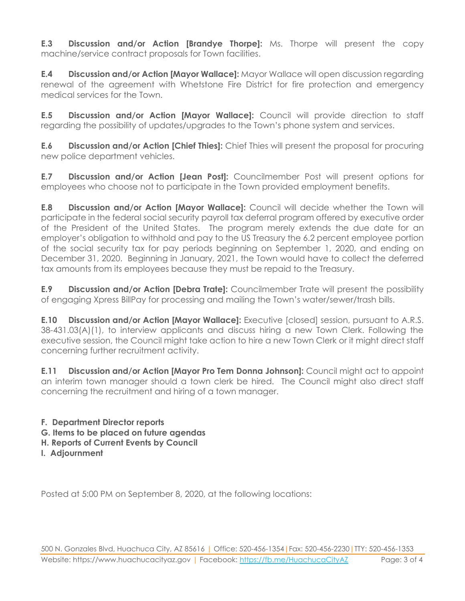**E.3 Discussion and/or Action [Brandye Thorpe]:** Ms. Thorpe will present the copy machine/service contract proposals for Town facilities.

**E.4 Discussion and/or Action [Mayor Wallace]:** Mayor Wallace will open discussion regarding renewal of the agreement with Whetstone Fire District for fire protection and emergency medical services for the Town.

**E.5 Discussion and/or Action [Mayor Wallace]:** Council will provide direction to staff regarding the possibility of updates/upgrades to the Town's phone system and services.

**E.6 Discussion and/or Action [Chief Thies]:** Chief Thies will present the proposal for procuring new police department vehicles.

**E.7 Discussion and/or Action [Jean Post]:** Councilmember Post will present options for employees who choose not to participate in the Town provided employment benefits.

**E.8 Discussion and/or Action [Mayor Wallace]:** Council will decide whether the Town will participate in the federal social security payroll tax deferral program offered by executive order of the President of the United States. The program merely extends the due date for an employer's obligation to withhold and pay to the US Treasury the 6.2 percent employee portion of the social security tax for pay periods beginning on September 1, 2020, and ending on December 31, 2020. Beginning in January, 2021, the Town would have to collect the deferred tax amounts from its employees because they must be repaid to the Treasury.

**E.9 Discussion and/or Action [Debra Trate]:** Councilmember Trate will present the possibility of engaging Xpress BillPay for processing and mailing the Town's water/sewer/trash bills.

**E.10 Discussion and/or Action [Mayor Wallace]:** Executive [closed] session, pursuant to A.R.S. 38-431.03(A)(1), to interview applicants and discuss hiring a new Town Clerk. Following the executive session, the Council might take action to hire a new Town Clerk or it might direct staff concerning further recruitment activity.

**E.11 Discussion and/or Action [Mayor Pro Tem Donna Johnson]:** Council might act to appoint an interim town manager should a town clerk be hired. The Council might also direct staff concerning the recruitment and hiring of a town manager.

**F. Department Director reports**

- **G. Items to be placed on future agendas**
- **H. Reports of Current Events by Council**
- **I. Adjournment**

Posted at 5:00 PM on September 8, 2020, at the following locations: